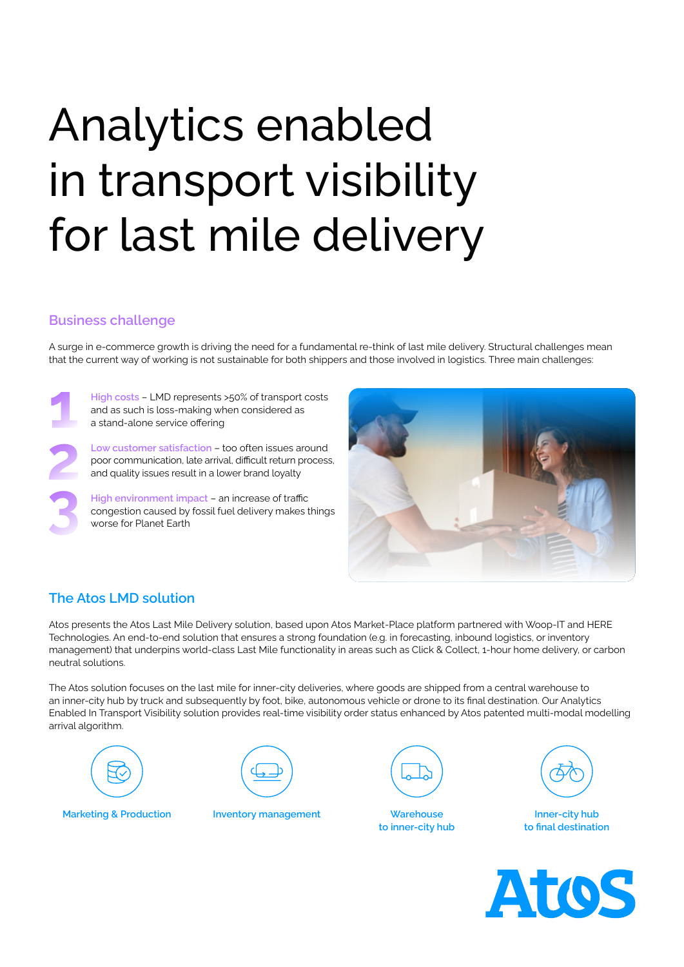# Analytics enabled in transport visibility for last mile delivery

### **Business challenge**

A surge in e-commerce growth is driving the need for a fundamental re-think of last mile delivery. Structural challenges mean that the current way of working is not sustainable for both shippers and those involved in logistics. Three main challenges:

**High costs** – LMD represents >50% of transport costs and as such is loss-making when considered as a stand-alone service offering

**Low customer satisfaction** – too often issues around poor communication, late arrival, difficult return process, and quality issues result in a lower brand loyalty

**High environment impact** – an increase of traffic congestion caused by fossil fuel delivery makes things worse for Planet Earth



## **The Atos LMD solution**

Atos presents the Atos Last Mile Delivery solution, based upon Atos Market-Place platform partnered with Woop-IT and HERE Technologies. An end-to-end solution that ensures a strong foundation (e.g. in forecasting, inbound logistics, or inventory management) that underpins world-class Last Mile functionality in areas such as Click & Collect, 1-hour home delivery, or carbon neutral solutions.

The Atos solution focuses on the last mile for inner-city deliveries, where goods are shipped from a central warehouse to an inner-city hub by truck and subsequently by foot, bike, autonomous vehicle or drone to its final destination. Our Analytics Enabled In Transport Visibility solution provides real-time visibility order status enhanced by Atos patented multi-modal modelling arrival algorithm.





**Marketing & Production Inventory management Warehouse**



**to inner-city hub**



**Inner-city hub to final destination**